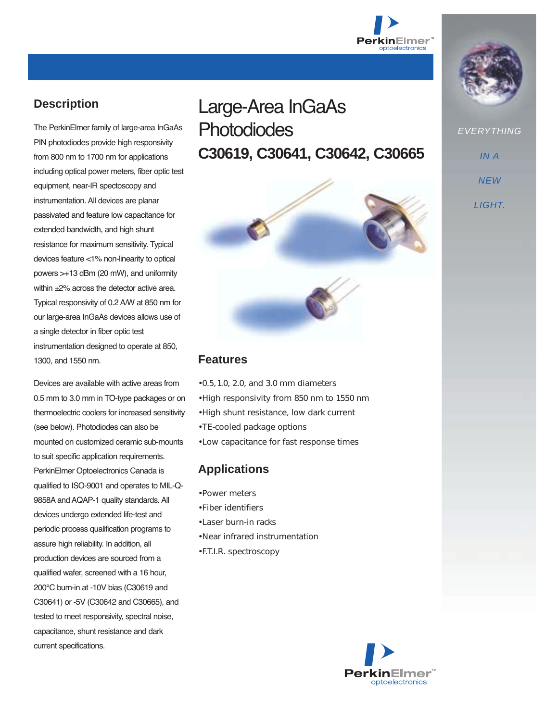

# **Description**

The PerkinElmer family of large-area InGaAs PIN photodiodes provide high responsivity from 800 nm to 1700 nm for applications including optical power meters, fiber optic test equipment, near-IR spectoscopy and instrumentation. All devices are planar passivated and feature low capacitance for extended bandwidth, and high shunt resistance for maximum sensitivity. Typical devices feature <1% non-linearity to optical powers >+13 dBm (20 mW), and uniformity within  $\pm$ 2% across the detector active area. Typical responsivity of 0.2 A/W at 850 nm for our large-area InGaAs devices allows use of a single detector in fiber optic test instrumentation designed to operate at 850, 1300, and 1550 nm.

Devices are available with active areas from 0.5 mm to 3.0 mm in TO-type packages or on thermoelectric coolers for increased sensitivity (see below). Photodiodes can also be mounted on customized ceramic sub-mounts to suit specific application requirements. PerkinElmer Optoelectronics Canada is qualified to ISO-9001 and operates to MIL-Q-9858A and AQAP-1 quality standards. All devices undergo extended life-test and periodic process qualification programs to assure high reliability. In addition, all production devices are sourced from a qualified wafer, screened with a 16 hour, 200°C burn-in at -10V bias (C30619 and C30641) or -5V (C30642 and C30665), and tested to meet responsivity, spectral noise, capacitance, shunt resistance and dark current specifications.

# Large-Area InGaAs **Photodiodes C30619, C30641, C30642, C30665**



#### **Features**

- 0.5, 1.0, 2.0, and 3.0 mm diameters
- High responsivity from 850 nm to 1550 nm
- High shunt resistance, low dark current
- TE-cooled package options
- Low capacitance for fast response times

## **Applications**

- Power meters
- Fiber identifiers
- Laser burn-in racks
- Near infrared instrumentation
- F.T.I.R. spectroscopy





**EVERYTHING** 

IN A

**NEW** 

LIGHT.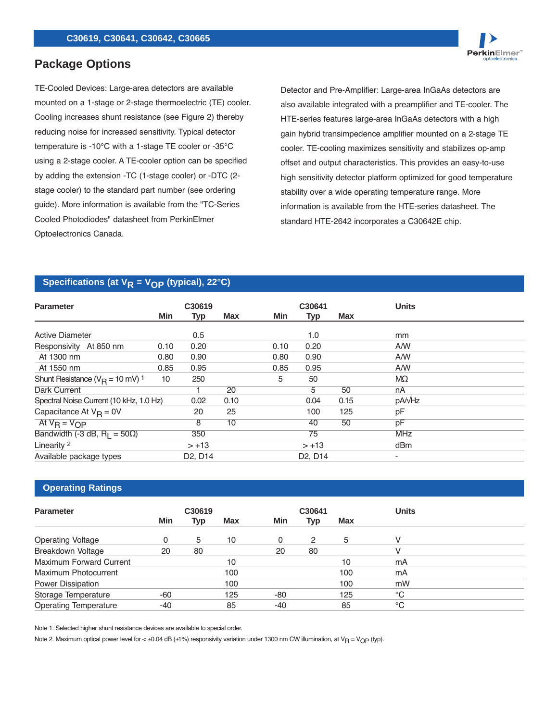# **Package Options**

TE-Cooled Devices: Large-area detectors are available mounted on a 1-stage or 2-stage thermoelectric (TE) cooler. Cooling increases shunt resistance (see Figure 2) thereby reducing noise for increased sensitivity. Typical detector temperature is -10°C with a 1-stage TE cooler or -35°C using a 2-stage cooler. A TE-cooler option can be specified by adding the extension -TC (1-stage cooler) or -DTC (2 stage cooler) to the standard part number (see ordering guide). More information is available from the "TC-Series Cooled Photodiodes" datasheet from PerkinElmer Optoelectronics Canada.

Detector and Pre-Amplifier: Large-area InGaAs detectors are also available integrated with a preamplifier and TE-cooler. The HTE-series features large-area InGaAs detectors with a high gain hybrid transimpedence amplifier mounted on a 2-stage TE cooler. TE-cooling maximizes sensitivity and stabilizes op-amp offset and output characteristics. This provides an easy-to-use high sensitivity detector platform optimized for good temperature stability over a wide operating temperature range. More information is available from the HTE-series datasheet. The standard HTE-2642 incorporates a C30642E chip.

PerkinElmer

#### Specifications (at  $V_R$  =  $V_{OP}$  (typical), 22<sup>°</sup>C)

| <b>Parameter</b>                               | C30619 |                                  |      |      | C30641                           |      | <b>Units</b>             |
|------------------------------------------------|--------|----------------------------------|------|------|----------------------------------|------|--------------------------|
|                                                | Min    | Typ                              | Max  | Min  | Typ                              | Max  |                          |
| <b>Active Diameter</b>                         |        | 0.5                              |      |      | 1.0                              |      | <sub>mm</sub>            |
| Responsivity At 850 nm                         | 0.10   | 0.20                             |      | 0.10 | 0.20                             |      | A/W                      |
| At 1300 nm                                     | 0.80   | 0.90                             |      | 0.80 | 0.90                             |      | A/W                      |
| At 1550 nm                                     | 0.85   | 0.95                             |      | 0.85 | 0.95                             |      | A/W                      |
| Shunt Resistance ( $V_B$ = 10 mV) <sup>1</sup> | 10     | 250                              |      | 5    | 50                               |      | MΩ                       |
| <b>Dark Current</b>                            |        |                                  | 20   |      | 5                                | 50   | nA                       |
| Spectral Noise Current (10 kHz, 1.0 Hz)        |        | 0.02                             | 0.10 |      | 0.04                             | 0.15 | pA/vHz                   |
| Capacitance At $V_R = 0V$                      |        | 20                               | 25   |      | 100                              | 125  | pF                       |
| At $V_B = V_{OP}$                              |        | 8                                | 10   |      | 40                               | 50   | рF                       |
| Bandwidth (-3 dB, $R_1 = 50\Omega$ )           |        | 350                              |      |      | 75                               |      | <b>MHz</b>               |
| Linearity <sup>2</sup>                         |        | $> +13$                          |      |      | $> +13$                          |      | dBm                      |
| Available package types                        |        | D <sub>2</sub> , D <sub>14</sub> |      |      | D <sub>2</sub> , D <sub>14</sub> |      | $\overline{\phantom{a}}$ |

#### **Operating Ratings**

| <b>Parameter</b>               | C30619 |     |            | C30641 |     |     | <b>Units</b> |  |
|--------------------------------|--------|-----|------------|--------|-----|-----|--------------|--|
|                                | Min    | Typ | <b>Max</b> | Min    | Typ | Max |              |  |
| <b>Operating Voltage</b>       | 0      | 5   | 10         | 0      | 2   | 5   | v            |  |
| Breakdown Voltage              | 20     | 80  |            | 20     | 80  |     |              |  |
| <b>Maximum Forward Current</b> |        |     | 10         |        |     | 10  | mA           |  |
| Maximum Photocurrent           |        |     | 100        |        |     | 100 | mA           |  |
| <b>Power Dissipation</b>       |        |     | 100        |        |     | 100 | mW           |  |
| Storage Temperature            | -60    |     | 125        | -80    |     | 125 | $^{\circ}C$  |  |
| <b>Operating Temperature</b>   | -40    |     | 85         | -40    |     | 85  | $^{\circ}C$  |  |

Note 1. Selected higher shunt resistance devices are available to special order.

Note 2. Maximum optical power level for <  $\pm 0.04$  dB ( $\pm 1\%$ ) responsivity variation under 1300 nm CW illumination, at V<sub>R</sub> = V<sub>OP</sub> (typ).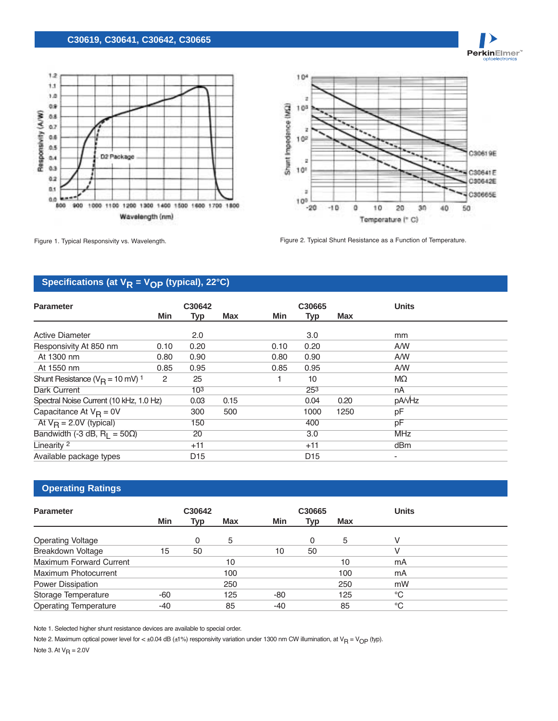#### **C30619, C30641, C30642, C30665**





PerkinElmer<sup>®</sup>

Figure 1. Typical Responsivity vs. Wavelength. The match of the state of the Figure 2. Typical Shunt Resistance as a Function of Temperature.

# Specifications (at  $V_R = V_{OP}$  (typical), 22°C)

| <b>Parameter</b>                               | C30642 |                 |      |      | C30665           | <b>Units</b> |                 |
|------------------------------------------------|--------|-----------------|------|------|------------------|--------------|-----------------|
|                                                | Min    | <b>Typ</b>      | Max  | Min  | <b>Typ</b>       | Max          |                 |
| <b>Active Diameter</b>                         |        | 2.0             |      |      | 3.0              |              | mm              |
| Responsivity At 850 nm                         | 0.10   | 0.20            |      | 0.10 | 0.20             |              | A/W             |
| At 1300 nm                                     | 0.80   | 0.90            |      | 0.80 | 0.90             |              | A/W             |
| At 1550 nm                                     | 0.85   | 0.95            |      | 0.85 | 0.95             |              | A/W             |
| Shunt Resistance ( $V_B$ = 10 mV) <sup>1</sup> | 2      | 25              |      |      | 10               |              | MΩ              |
| Dark Current                                   |        | 10 <sup>3</sup> |      |      | 25 <sup>3</sup>  |              | nA              |
| Spectral Noise Current (10 kHz, 1.0 Hz)        |        | 0.03            | 0.15 |      | 0.04             | 0.20         | pA/vHz          |
| Capacitance At $V_{\text{R}} = 0V$             |        | 300             | 500  |      | 1000             | 1250         | pF              |
| At $V_B = 2.0V$ (typical)                      |        | 150             |      |      | 400              |              | pF              |
| Bandwidth (-3 dB, $R_1 = 50\Omega$ )           |        | 20              |      |      | $\overline{3.0}$ |              | <b>MHz</b>      |
| Linearity <sup>2</sup>                         |        | $+11$           |      |      | $+11$            |              | dB <sub>m</sub> |
| Available package types                        |        | D <sub>15</sub> |      |      | D <sub>15</sub>  |              | ۰               |

### **Operating Ratings**

| <b>Parameter</b>             |     | C30642 |            |       | C30665 |            | <b>Units</b> |
|------------------------------|-----|--------|------------|-------|--------|------------|--------------|
|                              | Min | Typ    | <b>Max</b> | Min   | Typ    | <b>Max</b> |              |
| <b>Operating Voltage</b>     |     | 0      | 5          |       | n      | 5          |              |
| Breakdown Voltage            | 15  | 50     |            | 10    | 50     |            |              |
| Maximum Forward Current      |     |        | 10         |       |        | 10         | mA           |
| Maximum Photocurrent         |     |        | 100        |       |        | 100        | mA           |
| Power Dissipation            |     |        | 250        |       |        | 250        | mW           |
| Storage Temperature          | -60 |        | 125        | -80   |        | 125        | °C           |
| <b>Operating Temperature</b> | -40 |        | 85         | $-40$ |        | 85         | $^{\circ}C$  |

Note 1. Selected higher shunt resistance devices are available to special order.

Note 2. Maximum optical power level for <  $\pm$ 0.04 dB ( $\pm$ 1%) responsivity variation under 1300 nm CW illumination, at V<sub>R</sub> = V<sub>OP</sub> (typ).

Note 3. At  $V_R = 2.0V$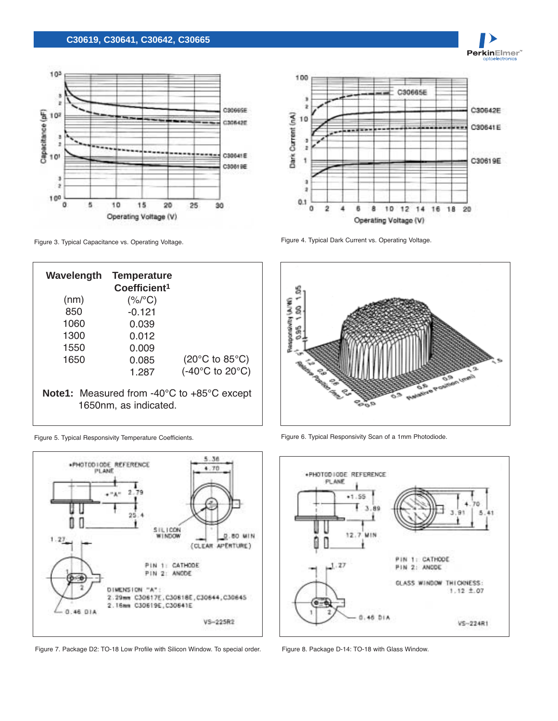#### **C30619, C30641, C30642, C30665**





PerkinElmer<sup>®</sup>

Figure 3. Typical Capacitance vs. Operating Voltage. The State of the State of Typical Dark Current vs. Operating Voltage.

**Wavelength** (nm) 850 1060 1300 1550 1650 **Temperature Coefficient1**  $(%$ /°C) -0.121 0.039 0.012 0.009 0.085 1.287 (20°C to 85°C) (-40°C to 20°C) **Note1:** Measured from -40°C to +85°C except 1650nm, as indicated.



Figure 7. Package D2: TO-18 Low Profile with Silicon Window. To special order. Figure 8. Package D-14: TO-18 with Glass Window.



Figure 5. Typical Responsivity Temperature Coefficients. Figure 6. Typical Responsivity Scan of a 1mm Photodiode.